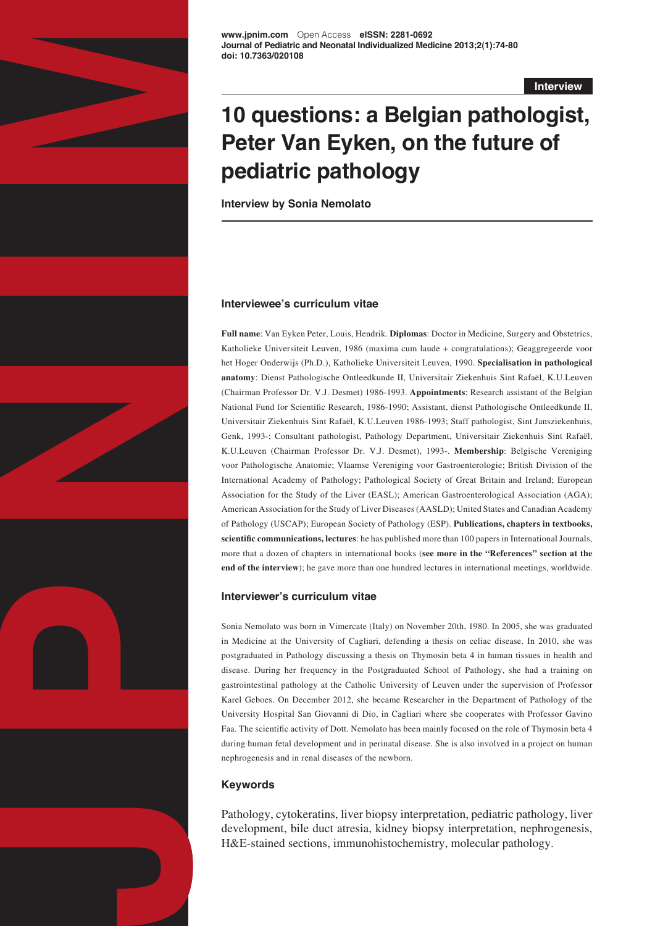

**Interview**

# **10 questions: a Belgian pathologist, Peter Van Eyken, on the future of pediatric pathology**

**Interview by Sonia Nemolato**

#### **Interviewee's curriculum vitae**

**Full name**: Van Eyken Peter, Louis, Hendrik. **Diplomas**: Doctor in Medicine, Surgery and Obstetrics, Katholieke Universiteit Leuven, 1986 (maxima cum laude + congratulations); Geaggregeerde voor het Hoger Onderwijs (Ph.D.), Katholieke Universiteit Leuven, 1990. **Specialisation in pathological anatomy**: Dienst Pathologische Ontleedkunde II, Universitair Ziekenhuis Sint Rafaël, K.U.Leuven (Chairman Professor Dr. V.J. Desmet) 1986-1993. **Appointments**: Research assistant of the Belgian National Fund for Scientific Research, 1986-1990; Assistant, dienst Pathologische Ontleedkunde II, Universitair Ziekenhuis Sint Rafaël, K.U.Leuven 1986-1993; Staff pathologist, Sint Jansziekenhuis, Genk, 1993-; Consultant pathologist, Pathology Department, Universitair Ziekenhuis Sint Rafaël, K.U.Leuven (Chairman Professor Dr. V.J. Desmet), 1993-. **Membership**: Belgische Vereniging voor Pathologische Anatomie; Vlaamse Vereniging voor Gastroenterologie; British Division of the International Academy of Pathology; Pathological Society of Great Britain and Ireland; European Association for the Study of the Liver (EASL); American Gastroenterological Association (AGA); American Association for the Study of Liver Diseases (AASLD); United States and Canadian Academy of Pathology (USCAP); European Society of Pathology (ESP). **Publications, chapters in textbooks, scientific communications, lectures**: he has published more than 100 papers in International Journals, more that a dozen of chapters in international books (**see more in the "References" section at the end of the interview**); he gave more than one hundred lectures in international meetings, worldwide.

#### **Interviewer's curriculum vitae**

Sonia Nemolato was born in Vimercate (Italy) on November 20th, 1980. In 2005, she was graduated in Medicine at the University of Cagliari, defending a thesis on celiac disease. In 2010, she was postgraduated in Pathology discussing a thesis on Thymosin beta 4 in human tissues in health and disease. During her frequency in the Postgraduated School of Pathology, she had a training on gastrointestinal pathology at the Catholic University of Leuven under the supervision of Professor Karel Geboes. On December 2012, she became Researcher in the Department of Pathology of the University Hospital San Giovanni di Dio, in Cagliari where she cooperates with Professor Gavino Faa. The scientific activity of Dott. Nemolato has been mainly focused on the role of Thymosin beta 4 during human fetal development and in perinatal disease. She is also involved in a project on human nephrogenesis and in renal diseases of the newborn.

#### **Keywords**

Pathology, cytokeratins, liver biopsy interpretation, pediatric pathology, liver development, bile duct atresia, kidney biopsy interpretation, nephrogenesis, H&E-stained sections, immunohistochemistry, molecular pathology.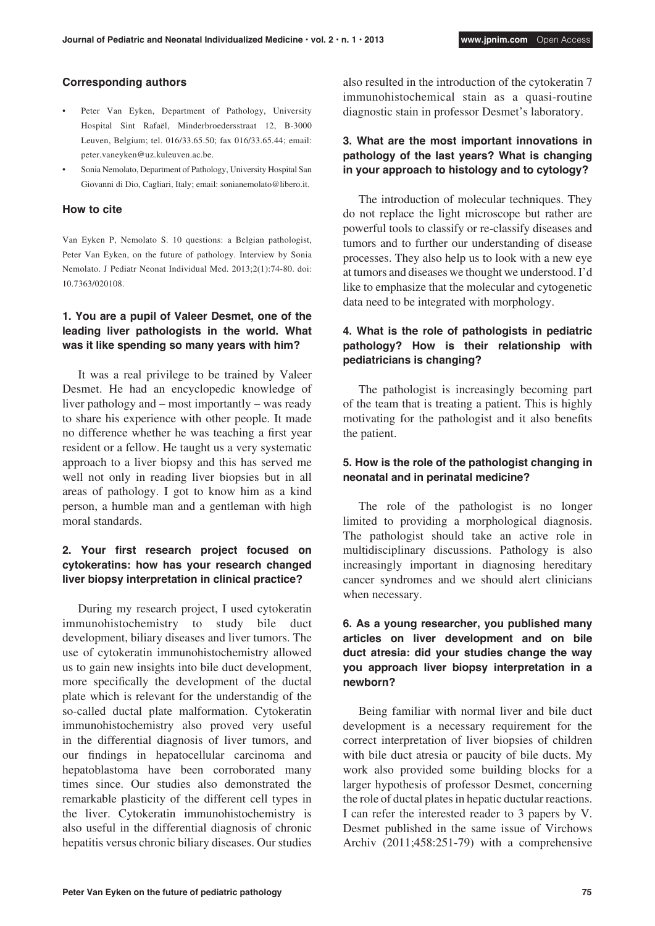#### **Corresponding authors**

- Peter Van Eyken, Department of Pathology, University Hospital Sint Rafaël, Minderbroedersstraat 12, B-3000 Leuven, Belgium; tel. 016/33.65.50; fax 016/33.65.44; email: peter.vaneyken@uz.kuleuven.ac.be.
- Sonia Nemolato, Department of Pathology, University Hospital San Giovanni di Dio, Cagliari, Italy; email: sonianemolato@libero.it.

#### **How to cite**

Van Eyken P, Nemolato S. 10 questions: a Belgian pathologist, Peter Van Eyken, on the future of pathology. Interview by Sonia Nemolato. J Pediatr Neonat Individual Med. 2013;2(1):74-80. doi: 10.7363/020108.

## **1. You are a pupil of Valeer Desmet, one of the leading liver pathologists in the world. What was it like spending so many years with him?**

It was a real privilege to be trained by Valeer Desmet. He had an encyclopedic knowledge of liver pathology and – most importantly – was ready to share his experience with other people. It made no difference whether he was teaching a first year resident or a fellow. He taught us a very systematic approach to a liver biopsy and this has served me well not only in reading liver biopsies but in all areas of pathology. I got to know him as a kind person, a humble man and a gentleman with high moral standards.

## **2. Your first research project focused on cytokeratins: how has your research changed liver biopsy interpretation in clinical practice?**

During my research project, I used cytokeratin immunohistochemistry to study bile duct development, biliary diseases and liver tumors. The use of cytokeratin immunohistochemistry allowed us to gain new insights into bile duct development, more specifically the development of the ductal plate which is relevant for the understandig of the so-called ductal plate malformation. Cytokeratin immunohistochemistry also proved very useful in the differential diagnosis of liver tumors, and our findings in hepatocellular carcinoma and hepatoblastoma have been corroborated many times since. Our studies also demonstrated the remarkable plasticity of the different cell types in the liver. Cytokeratin immunohistochemistry is also useful in the differential diagnosis of chronic hepatitis versus chronic biliary diseases. Our studies also resulted in the introduction of the cytokeratin 7 immunohistochemical stain as a quasi-routine diagnostic stain in professor Desmet's laboratory.

#### **3. What are the most important innovations in pathology of the last years? What is changing in your approach to histology and to cytology?**

The introduction of molecular techniques. They do not replace the light microscope but rather are powerful tools to classify or re-classify diseases and tumors and to further our understanding of disease processes. They also help us to look with a new eye at tumors and diseases we thought we understood. I'd like to emphasize that the molecular and cytogenetic data need to be integrated with morphology.

## **4. What is the role of pathologists in pediatric pathology? How is their relationship with pediatricians is changing?**

The pathologist is increasingly becoming part of the team that is treating a patient. This is highly motivating for the pathologist and it also benefits the patient.

#### **5. How is the role of the pathologist changing in neonatal and in perinatal medicine?**

The role of the pathologist is no longer limited to providing a morphological diagnosis. The pathologist should take an active role in multidisciplinary discussions. Pathology is also increasingly important in diagnosing hereditary cancer syndromes and we should alert clinicians when necessary.

# **6. As a young researcher, you published many articles on liver development and on bile duct atresia: did your studies change the way you approach liver biopsy interpretation in a newborn?**

Being familiar with normal liver and bile duct development is a necessary requirement for the correct interpretation of liver biopsies of children with bile duct atresia or paucity of bile ducts. My work also provided some building blocks for a larger hypothesis of professor Desmet, concerning the role of ductal plates in hepatic ductular reactions. I can refer the interested reader to 3 papers by V. Desmet published in the same issue of Virchows Archiv (2011;458:251-79) with a comprehensive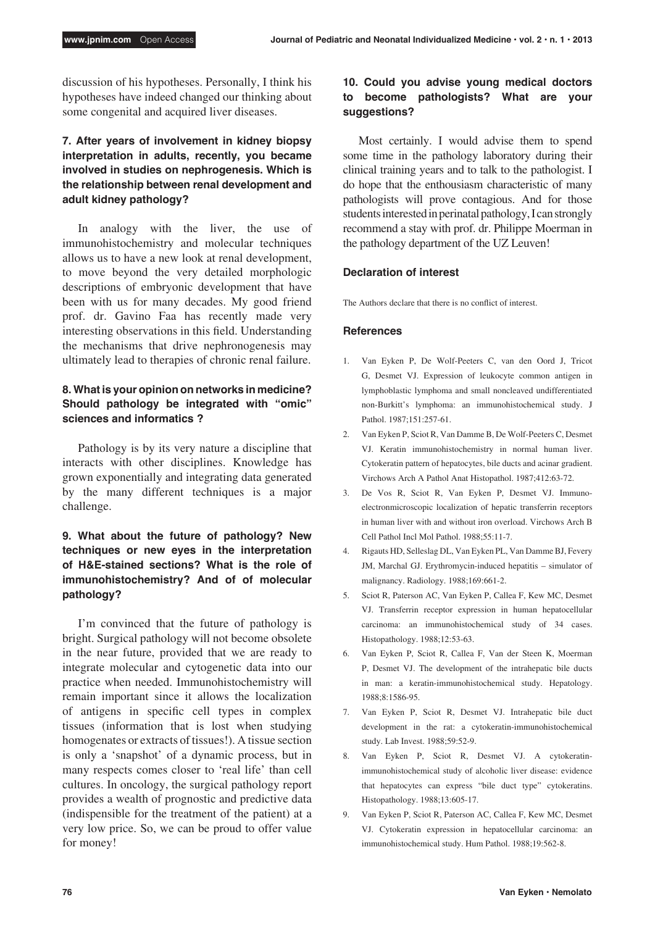discussion of his hypotheses. Personally, I think his hypotheses have indeed changed our thinking about some congenital and acquired liver diseases.

# **7. After years of involvement in kidney biopsy interpretation in adults, recently, you became involved in studies on nephrogenesis. Which is the relationship between renal development and adult kidney pathology?**

In analogy with the liver, the use of immunohistochemistry and molecular techniques allows us to have a new look at renal development, to move beyond the very detailed morphologic descriptions of embryonic development that have been with us for many decades. My good friend prof. dr. Gavino Faa has recently made very interesting observations in this field. Understanding the mechanisms that drive nephronogenesis may ultimately lead to therapies of chronic renal failure.

# **8. What is your opinion on networks in medicine? Should pathology be integrated with "omic" sciences and informatics ?**

Pathology is by its very nature a discipline that interacts with other disciplines. Knowledge has grown exponentially and integrating data generated by the many different techniques is a major challenge.

# **9. What about the future of pathology? New techniques or new eyes in the interpretation of H&E-stained sections? What is the role of immunohistochemistry? And of of molecular pathology?**

I'm convinced that the future of pathology is bright. Surgical pathology will not become obsolete in the near future, provided that we are ready to integrate molecular and cytogenetic data into our practice when needed. Immunohistochemistry will remain important since it allows the localization of antigens in specific cell types in complex tissues (information that is lost when studying homogenates or extracts of tissues!). A tissue section is only a 'snapshot' of a dynamic process, but in many respects comes closer to 'real life' than cell cultures. In oncology, the surgical pathology report provides a wealth of prognostic and predictive data (indispensible for the treatment of the patient) at a very low price. So, we can be proud to offer value for money!

## **10. Could you advise young medical doctors to become pathologists? What are your suggestions?**

Most certainly. I would advise them to spend some time in the pathology laboratory during their clinical training years and to talk to the pathologist. I do hope that the enthousiasm characteristic of many pathologists will prove contagious. And for those students interested in perinatal pathology, I can strongly recommend a stay with prof. dr. Philippe Moerman in the pathology department of the UZ Leuven!

## **Declaration of interest**

The Authors declare that there is no conflict of interest.

#### **References**

- 1. Van Eyken P, De Wolf-Peeters C, van den Oord J, Tricot G, Desmet VJ. Expression of leukocyte common antigen in lymphoblastic lymphoma and small noncleaved undifferentiated non-Burkitt's lymphoma: an immunohistochemical study. J Pathol. 1987;151:257-61.
- 2. Van Eyken P, Sciot R, Van Damme B, De Wolf-Peeters C, Desmet VJ. Keratin immunohistochemistry in normal human liver. Cytokeratin pattern of hepatocytes, bile ducts and acinar gradient. Virchows Arch A Pathol Anat Histopathol. 1987;412:63-72.
- 3. De Vos R, Sciot R, Van Eyken P, Desmet VJ. Immunoelectronmicroscopic localization of hepatic transferrin receptors in human liver with and without iron overload. Virchows Arch B Cell Pathol Incl Mol Pathol. 1988;55:11-7.
- 4. Rigauts HD, Selleslag DL, Van Eyken PL, Van Damme BJ, Fevery JM, Marchal GJ. Erythromycin-induced hepatitis – simulator of malignancy. Radiology. 1988;169:661-2.
- 5. Sciot R, Paterson AC, Van Eyken P, Callea F, Kew MC, Desmet VJ. Transferrin receptor expression in human hepatocellular carcinoma: an immunohistochemical study of 34 cases. Histopathology. 1988;12:53-63.
- 6. Van Eyken P, Sciot R, Callea F, Van der Steen K, Moerman P, Desmet VJ. The development of the intrahepatic bile ducts in man: a keratin-immunohistochemical study. Hepatology. 1988;8:1586-95.
- 7. Van Eyken P, Sciot R, Desmet VJ. Intrahepatic bile duct development in the rat: a cytokeratin-immunohistochemical study. Lab Invest. 1988;59:52-9.
- 8. Van Eyken P, Sciot R, Desmet VJ. A cytokeratinimmunohistochemical study of alcoholic liver disease: evidence that hepatocytes can express "bile duct type" cytokeratins. Histopathology. 1988;13:605-17.
- 9. Van Eyken P, Sciot R, Paterson AC, Callea F, Kew MC, Desmet VJ. Cytokeratin expression in hepatocellular carcinoma: an immunohistochemical study. Hum Pathol. 1988;19:562-8.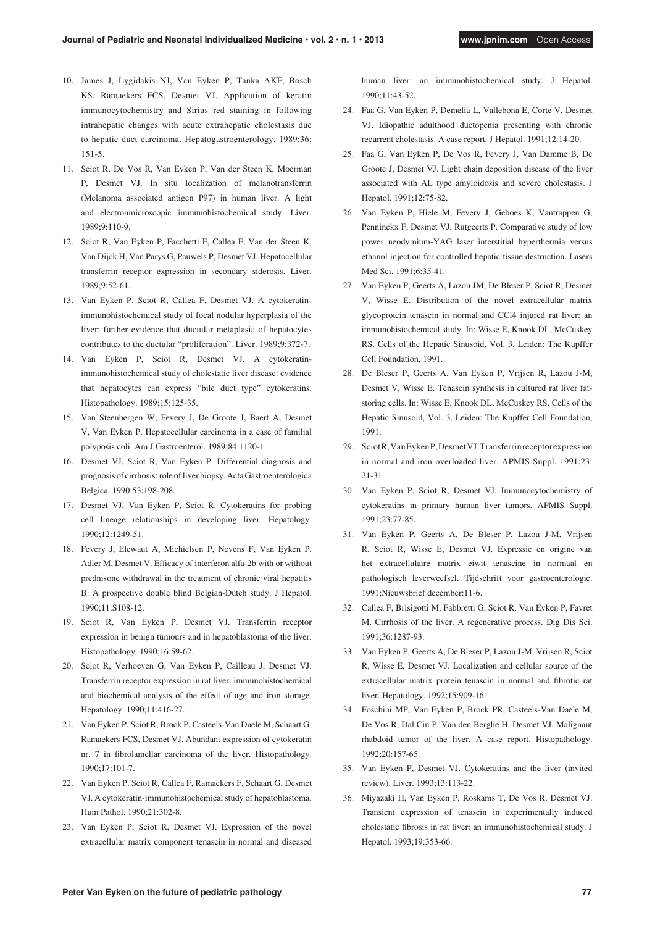- 10. James J, Lygidakis NJ, Van Eyken P, Tanka AKF, Bosch KS, Ramaekers FCS, Desmet VJ. Application of keratin immunocytochemistry and Sirius red staining in following intrahepatic changes with acute extrahepatic cholestasis due to hepatic duct carcinoma. Hepatogastroenterology. 1989;36: 151-5.
- 11. Sciot R, De Vos R, Van Eyken P, Van der Steen K, Moerman P, Desmet VJ. In situ localization of melanotransferrin (Melanoma associated antigen P97) in human liver. A light and electronmicroscopic immunohistochemical study. Liver. 1989;9:110-9.
- 12. Sciot R, Van Eyken P, Facchetti F, Callea F, Van der Steen K, Van Dijck H, Van Parys G, Pauwels P, Desmet VJ. Hepatocellular transferrin receptor expression in secondary siderosis. Liver. 1989;9:52-61.
- 13. Van Eyken P, Sciot R, Callea F, Desmet VJ. A cytokeratinimmunohistochemical study of focal nodular hyperplasia of the liver: further evidence that ductular metaplasia of hepatocytes contributes to the ductular "proliferation". Liver. 1989;9:372-7.
- 14. Van Eyken P, Sciot R, Desmet VJ. A cytokeratinimmunohistochemical study of cholestatic liver disease: evidence that hepatocytes can express "bile duct type" cytokeratins. Histopathology. 1989;15:125-35.
- 15. Van Steenbergen W, Fevery J, De Groote J, Baert A, Desmet V, Van Eyken P. Hepatocellular carcinoma in a case of familial polyposis coli. Am J Gastroenterol. 1989;84:1120-1.
- 16. Desmet VJ, Sciot R, Van Eyken P. Differential diagnosis and prognosis of cirrhosis: role of liver biopsy. Acta Gastroenterologica Belgica. 1990;53:198-208.
- 17. Desmet VJ, Van Eyken P, Sciot R. Cytokeratins for probing cell lineage relationships in developing liver. Hepatology. 1990;12:1249-51.
- 18. Fevery J, Elewaut A, Michielsen P, Nevens F, Van Eyken P, Adler M, Desmet V. Efficacy of interferon alfa-2b with or without prednisone withdrawal in the treatment of chronic viral hepatitis B. A prospective double blind Belgian-Dutch study. J Hepatol. 1990;11:S108-12.
- 19. Sciot R, Van Eyken P, Desmet VJ. Transferrin receptor expression in benign tumours and in hepatoblastoma of the liver. Histopathology. 1990;16:59-62.
- 20. Sciot R, Verhoeven G, Van Eyken P, Cailleau J, Desmet VJ. Transferrin receptor expression in rat liver: immunohistochemical and biochemical analysis of the effect of age and iron storage. Hepatology. 1990;11:416-27.
- 21. Van Eyken P, Sciot R, Brock P, Casteels-Van Daele M, Schaart G, Ramaekers FCS, Desmet VJ. Abundant expression of cytokeratin nr. 7 in fibrolamellar carcinoma of the liver. Histopathology. 1990;17:101-7.
- 22. Van Eyken P, Sciot R, Callea F, Ramaekers F, Schaart G, Desmet VJ. A cytokeratin-immunohistochemical study of hepatoblastoma. Hum Pathol. 1990;21:302-8.
- 23. Van Eyken P, Sciot R, Desmet VJ. Expression of the novel extracellular matrix component tenascin in normal and diseased

human liver: an immunohistochemical study. J Hepatol. 1990;11:43-52.

- 24. Faa G, Van Eyken P, Demelia L, Vallebona E, Corte V, Desmet VJ. Idiopathic adulthood ductopenia presenting with chronic recurrent cholestasis. A case report. J Hepatol. 1991;12:14-20.
- 25. Faa G, Van Eyken P, De Vos R, Fevery J, Van Damme B, De Groote J, Desmet VJ. Light chain deposition disease of the liver associated with AL type amyloidosis and severe cholestasis. J Hepatol. 1991;12:75-82.
- 26. Van Eyken P, Hiele M, Fevery J, Geboes K, Vantrappen G, Penninckx F, Desmet VJ, Rutgeerts P. Comparative study of low power neodymium-YAG laser interstitial hyperthermia versus ethanol injection for controlled hepatic tissue destruction. Lasers Med Sci. 1991;6:35-41.
- 27. Van Eyken P, Geerts A, Lazou JM, De Bleser P, Sciot R, Desmet V, Wisse E. Distribution of the novel extracellular matrix glycoprotein tenascin in normal and CCl4 injured rat liver: an immunohistochemical study. In: Wisse E, Knook DL, McCuskey RS. Cells of the Hepatic Sinusoid, Vol. 3. Leiden: The Kupffer Cell Foundation, 1991.
- 28. De Bleser P, Geerts A, Van Eyken P, Vrijsen R, Lazou J-M, Desmet V, Wisse E. Tenascin synthesis in cultured rat liver fatstoring cells. In: Wisse E, Knook DL, McCuskey RS. Cells of the Hepatic Sinusoid, Vol. 3. Leiden: The Kupffer Cell Foundation, 1991.
- 29. Sciot R, Van Eyken P, Desmet VJ. Transferrin receptor expression in normal and iron overloaded liver. APMIS Suppl. 1991;23: 21-31.
- 30. Van Eyken P, Sciot R, Desmet VJ. Immunocytochemistry of cytokeratins in primary human liver tumors. APMIS Suppl. 1991;23:77-85.
- 31. Van Eyken P, Geerts A, De Bleser P, Lazou J-M, Vrijsen R, Sciot R, Wisse E, Desmet VJ. Expressie en origine van het extracellulaire matrix eiwit tenascine in normaal en pathologisch leverweefsel. Tijdschrift voor gastroenterologie. 1991;Nieuwsbrief december:11-6.
- 32. Callea F, Brisigotti M, Fabbretti G, Sciot R, Van Eyken P, Favret M. Cirrhosis of the liver. A regenerative process. Dig Dis Sci. 1991;36:1287-93.
- 33. Van Eyken P, Geerts A, De Bleser P, Lazou J-M, Vrijsen R, Sciot R, Wisse E, Desmet VJ. Localization and cellular source of the extracellular matrix protein tenascin in normal and fibrotic rat liver. Hepatology. 1992;15:909-16.
- 34. Foschini MP, Van Eyken P, Brock PR, Casteels-Van Daele M, De Vos R, Dal Cin P, Van den Berghe H, Desmet VJ. Malignant rhabdoid tumor of the liver. A case report. Histopathology. 1992;20:157-65.
- 35. Van Eyken P, Desmet VJ. Cytokeratins and the liver (invited review). Liver. 1993;13:113-22.
- 36. Miyazaki H, Van Eyken P, Roskams T, De Vos R, Desmet VJ. Transient expression of tenascin in experimentally induced cholestatic fibrosis in rat liver: an immunohistochemical study. J Hepatol. 1993;19:353-66.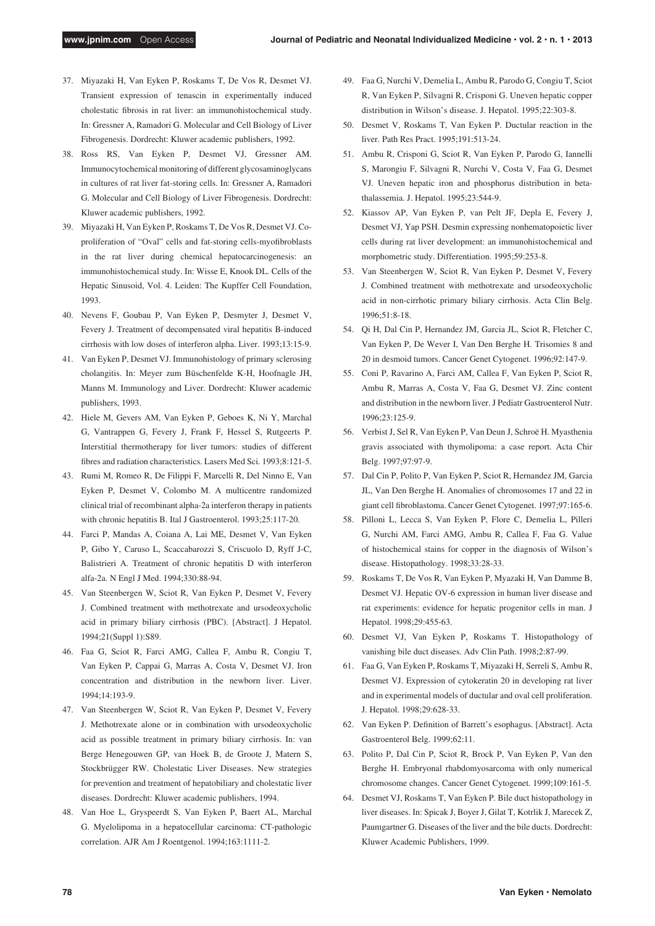- 37. Miyazaki H, Van Eyken P, Roskams T, De Vos R, Desmet VJ. Transient expression of tenascin in experimentally induced cholestatic fibrosis in rat liver: an immunohistochemical study. In: Gressner A, Ramadori G. Molecular and Cell Biology of Liver Fibrogenesis. Dordrecht: Kluwer academic publishers, 1992.
- 38. Ross RS, Van Eyken P, Desmet VJ, Gressner AM. Immunocytochemical monitoring of different glycosaminoglycans in cultures of rat liver fat-storing cells. In: Gressner A, Ramadori G. Molecular and Cell Biology of Liver Fibrogenesis. Dordrecht: Kluwer academic publishers, 1992.
- 39. Miyazaki H, Van Eyken P, Roskams T, De Vos R, Desmet VJ. Coproliferation of "Oval" cells and fat-storing cells-myofibroblasts in the rat liver during chemical hepatocarcinogenesis: an immunohistochemical study. In: Wisse E, Knook DL. Cells of the Hepatic Sinusoid, Vol. 4. Leiden: The Kupffer Cell Foundation, 1993.
- 40. Nevens F, Goubau P, Van Eyken P, Desmyter J, Desmet V, Fevery J. Treatment of decompensated viral hepatitis B-induced cirrhosis with low doses of interferon alpha. Liver. 1993;13:15-9.
- 41. Van Eyken P, Desmet VJ. Immunohistology of primary sclerosing cholangitis. In: Meyer zum Büschenfelde K-H, Hoofnagle JH, Manns M. Immunology and Liver. Dordrecht: Kluwer academic publishers, 1993.
- 42. Hiele M, Gevers AM, Van Eyken P, Geboes K, Ni Y, Marchal G, Vantrappen G, Fevery J, Frank F, Hessel S, Rutgeerts P. Interstitial thermotherapy for liver tumors: studies of different fibres and radiation characteristics. Lasers Med Sci. 1993;8:121-5.
- 43. Rumi M, Romeo R, De Filippi F, Marcelli R, Del Ninno E, Van Eyken P, Desmet V, Colombo M. A multicentre randomized clinical trial of recombinant alpha-2a interferon therapy in patients with chronic hepatitis B. Ital J Gastroenterol. 1993;25:117-20.
- 44. Farci P, Mandas A, Coiana A, Lai ME, Desmet V, Van Eyken P, Gibo Y, Caruso L, Scaccabarozzi S, Criscuolo D, Ryff J-C, Balistrieri A. Treatment of chronic hepatitis D with interferon alfa-2a. N Engl J Med. 1994;330:88-94.
- 45. Van Steenbergen W, Sciot R, Van Eyken P, Desmet V, Fevery J. Combined treatment with methotrexate and ursodeoxycholic acid in primary biliary cirrhosis (PBC). [Abstract]. J Hepatol. 1994;21(Suppl 1):S89.
- 46. Faa G, Sciot R, Farci AMG, Callea F, Ambu R, Congiu T, Van Eyken P, Cappai G, Marras A, Costa V, Desmet VJ. Iron concentration and distribution in the newborn liver. Liver.  $1994.14.193.9$
- 47. Van Steenbergen W, Sciot R, Van Eyken P, Desmet V, Fevery J. Methotrexate alone or in combination with ursodeoxycholic acid as possible treatment in primary biliary cirrhosis. In: van Berge Henegouwen GP, van Hoek B, de Groote J, Matern S, Stockbrügger RW. Cholestatic Liver Diseases. New strategies for prevention and treatment of hepatobiliary and cholestatic liver diseases. Dordrecht: Kluwer academic publishers, 1994.
- 48. Van Hoe L, Gryspeerdt S, Van Eyken P, Baert AL, Marchal G. Myelolipoma in a hepatocellular carcinoma: CT-pathologic correlation. AJR Am J Roentgenol. 1994;163:1111-2.
- 49. Faa G, Nurchi V, Demelia L, Ambu R, Parodo G, Congiu T, Sciot R, Van Eyken P, Silvagni R, Crisponi G. Uneven hepatic copper distribution in Wilson's disease. J. Hepatol. 1995;22:303-8.
- 50. Desmet V, Roskams T, Van Eyken P. Ductular reaction in the liver. Path Res Pract. 1995;191:513-24.
- 51. Ambu R, Crisponi G, Sciot R, Van Eyken P, Parodo G, Iannelli S, Marongiu F, Silvagni R, Nurchi V, Costa V, Faa G, Desmet VJ. Uneven hepatic iron and phosphorus distribution in betathalassemia. J. Hepatol. 1995;23:544-9.
- 52. Kiassov AP, Van Eyken P, van Pelt JF, Depla E, Fevery J, Desmet VJ, Yap PSH. Desmin expressing nonhematopoietic liver cells during rat liver development: an immunohistochemical and morphometric study. Differentiation. 1995;59:253-8.
- 53. Van Steenbergen W, Sciot R, Van Eyken P, Desmet V, Fevery J. Combined treatment with methotrexate and ursodeoxycholic acid in non-cirrhotic primary biliary cirrhosis. Acta Clin Belg. 1996;51:8-18.
- 54. Qi H, Dal Cin P, Hernandez JM, Garcia JL, Sciot R, Fletcher C, Van Eyken P, De Wever I, Van Den Berghe H. Trisomies 8 and 20 in desmoid tumors. Cancer Genet Cytogenet. 1996;92:147-9.
- 55. Coni P, Ravarino A, Farci AM, Callea F, Van Eyken P, Sciot R, Ambu R, Marras A, Costa V, Faa G, Desmet VJ. Zinc content and distribution in the newborn liver. J Pediatr Gastroenterol Nutr. 1996;23:125-9.
- 56. Verbist J, Sel R, Van Eyken P, Van Deun J, Schroë H. Myasthenia gravis associated with thymolipoma: a case report. Acta Chir Belg. 1997;97:97-9.
- 57. Dal Cin P, Polito P, Van Eyken P, Sciot R, Hernandez JM, Garcia JL, Van Den Berghe H. Anomalies of chromosomes 17 and 22 in giant cell fibroblastoma. Cancer Genet Cytogenet. 1997;97:165-6.
- 58. Pilloni L, Lecca S, Van Eyken P, Flore C, Demelia L, Pilleri G, Nurchi AM, Farci AMG, Ambu R, Callea F, Faa G. Value of histochemical stains for copper in the diagnosis of Wilson's disease. Histopathology. 1998;33:28-33.
- 59. Roskams T, De Vos R, Van Eyken P, Myazaki H, Van Damme B, Desmet VJ. Hepatic OV-6 expression in human liver disease and rat experiments: evidence for hepatic progenitor cells in man. J Hepatol. 1998;29:455-63.
- 60. Desmet VJ, Van Eyken P, Roskams T. Histopathology of vanishing bile duct diseases. Adv Clin Path. 1998;2:87-99.
- 61. Faa G, Van Eyken P, Roskams T, Miyazaki H, Serreli S, Ambu R, Desmet VJ. Expression of cytokeratin 20 in developing rat liver and in experimental models of ductular and oval cell proliferation. J. Hepatol. 1998;29:628-33.
- 62. Van Eyken P. Definition of Barrett's esophagus. [Abstract]. Acta Gastroenterol Belg. 1999;62:11.
- 63. Polito P, Dal Cin P, Sciot R, Brock P, Van Eyken P, Van den Berghe H. Embryonal rhabdomyosarcoma with only numerical chromosome changes. Cancer Genet Cytogenet. 1999;109:161-5.
- 64. Desmet VJ, Roskams T, Van Eyken P. Bile duct histopathology in liver diseases. In: Spicak J, Boyer J, Gilat T, Kotrlik J, Marecek Z, Paumgartner G. Diseases of the liver and the bile ducts. Dordrecht: Kluwer Academic Publishers, 1999.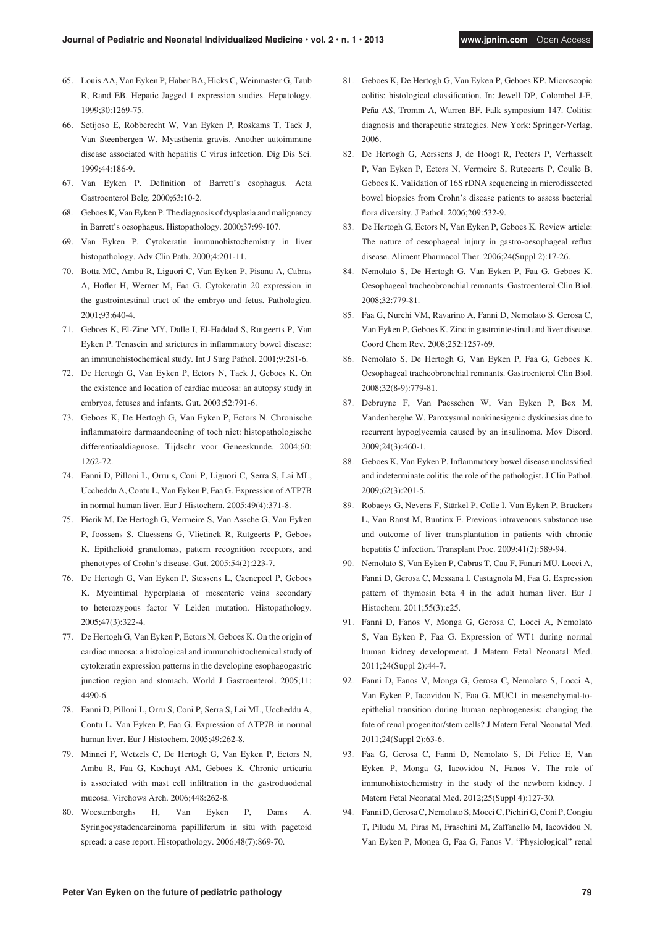- 65. Louis AA, Van Eyken P, Haber BA, Hicks C, Weinmaster G, Taub R, Rand EB. Hepatic Jagged 1 expression studies. Hepatology. 1999;30:1269-75.
- 66. Setijoso E, Robberecht W, Van Eyken P, Roskams T, Tack J, Van Steenbergen W. Myasthenia gravis. Another autoimmune disease associated with hepatitis C virus infection. Dig Dis Sci. 1999;44:186-9.
- 67. Van Eyken P. Definition of Barrett's esophagus. Acta Gastroenterol Belg. 2000;63:10-2.
- 68. Geboes K, Van Eyken P. The diagnosis of dysplasia and malignancy in Barrett's oesophagus. Histopathology. 2000;37:99-107.
- 69. Van Eyken P. Cytokeratin immunohistochemistry in liver histopathology. Adv Clin Path. 2000;4:201-11.
- 70. Botta MC, Ambu R, Liguori C, Van Eyken P, Pisanu A, Cabras A, Hofler H, Werner M, Faa G. Cytokeratin 20 expression in the gastrointestinal tract of the embryo and fetus. Pathologica. 2001;93:640-4.
- 71. Geboes K, El-Zine MY, Dalle I, El-Haddad S, Rutgeerts P, Van Eyken P. Tenascin and strictures in inflammatory bowel disease: an immunohistochemical study. Int J Surg Pathol. 2001;9:281-6.
- 72. De Hertogh G, Van Eyken P, Ectors N, Tack J, Geboes K. On the existence and location of cardiac mucosa: an autopsy study in embryos, fetuses and infants. Gut. 2003;52:791-6.
- 73. Geboes K, De Hertogh G, Van Eyken P, Ectors N. Chronische inflammatoire darmaandoening of toch niet: histopathologische differentiaaldiagnose. Tijdschr voor Geneeskunde. 2004;60: 1262-72.
- 74. Fanni D, Pilloni L, Orru s, Coni P, Liguori C, Serra S, Lai ML, Uccheddu A, Contu L, Van Eyken P, Faa G. Expression of ATP7B in normal human liver. Eur J Histochem. 2005;49(4):371-8.
- 75. Pierik M, De Hertogh G, Vermeire S, Van Assche G, Van Eyken P, Joossens S, Claessens G, Vlietinck R, Rutgeerts P, Geboes K. Epithelioid granulomas, pattern recognition receptors, and phenotypes of Crohn's disease. Gut. 2005;54(2):223-7.
- 76. De Hertogh G, Van Eyken P, Stessens L, Caenepeel P, Geboes K. Myointimal hyperplasia of mesenteric veins secondary to heterozygous factor V Leiden mutation. Histopathology. 2005;47(3):322-4.
- 77. De Hertogh G, Van Eyken P, Ectors N, Geboes K. On the origin of cardiac mucosa: a histological and immunohistochemical study of cytokeratin expression patterns in the developing esophagogastric junction region and stomach. World J Gastroenterol. 2005;11: 4490-6.
- 78. Fanni D, Pilloni L, Orru S, Coni P, Serra S, Lai ML, Uccheddu A, Contu L, Van Eyken P, Faa G. Expression of ATP7B in normal human liver. Eur J Histochem. 2005;49:262-8.
- 79. Minnei F, Wetzels C, De Hertogh G, Van Eyken P, Ectors N, Ambu R, Faa G, Kochuyt AM, Geboes K. Chronic urticaria is associated with mast cell infiltration in the gastroduodenal mucosa. Virchows Arch. 2006;448:262-8.
- 80. Woestenborghs H, Van Eyken P, Dams A. Syringocystadencarcinoma papilliferum in situ with pagetoid spread: a case report. Histopathology. 2006;48(7):869-70.
- 81. Geboes K, De Hertogh G, Van Eyken P, Geboes KP. Microscopic colitis: histological classification. In: Jewell DP, Colombel J-F, Peña AS, Tromm A, Warren BF. Falk symposium 147. Colitis: diagnosis and therapeutic strategies. New York: Springer-Verlag, 2006.
- 82. De Hertogh G, Aerssens J, de Hoogt R, Peeters P, Verhasselt P, Van Eyken P, Ectors N, Vermeire S, Rutgeerts P, Coulie B, Geboes K. Validation of 16S rDNA sequencing in microdissected bowel biopsies from Crohn's disease patients to assess bacterial flora diversity. J Pathol. 2006;209:532-9.
- 83. De Hertogh G, Ectors N, Van Eyken P, Geboes K. Review article: The nature of oesophageal injury in gastro-oesophageal reflux disease. Aliment Pharmacol Ther. 2006;24(Suppl 2):17-26.
- 84. Nemolato S, De Hertogh G, Van Eyken P, Faa G, Geboes K. Oesophageal tracheobronchial remnants. Gastroenterol Clin Biol. 2008;32:779-81.
- 85. Faa G, Nurchi VM, Ravarino A, Fanni D, Nemolato S, Gerosa C, Van Eyken P, Geboes K. Zinc in gastrointestinal and liver disease. Coord Chem Rev. 2008;252:1257-69.
- 86. Nemolato S, De Hertogh G, Van Eyken P, Faa G, Geboes K. Oesophageal tracheobronchial remnants. Gastroenterol Clin Biol. 2008;32(8-9):779-81.
- 87. Debruyne F, Van Paesschen W, Van Eyken P, Bex M, Vandenberghe W. Paroxysmal nonkinesigenic dyskinesias due to recurrent hypoglycemia caused by an insulinoma. Mov Disord. 2009;24(3):460-1.
- 88. Geboes K, Van Eyken P. Inflammatory bowel disease unclassified and indeterminate colitis: the role of the pathologist. J Clin Pathol. 2009;62(3):201-5.
- 89. Robaeys G, Nevens F, Stärkel P, Colle I, Van Eyken P, Bruckers L, Van Ranst M, Buntinx F. Previous intravenous substance use and outcome of liver transplantation in patients with chronic hepatitis C infection. Transplant Proc. 2009;41(2):589-94.
- 90. Nemolato S, Van Eyken P, Cabras T, Cau F, Fanari MU, Locci A, Fanni D, Gerosa C, Messana I, Castagnola M, Faa G. Expression pattern of thymosin beta 4 in the adult human liver. Eur J Histochem. 2011;55(3):e25.
- 91. Fanni D, Fanos V, Monga G, Gerosa C, Locci A, Nemolato S, Van Eyken P, Faa G. Expression of WT1 during normal human kidney development. J Matern Fetal Neonatal Med. 2011;24(Suppl 2):44-7.
- 92. Fanni D, Fanos V, Monga G, Gerosa C, Nemolato S, Locci A, Van Eyken P, Iacovidou N, Faa G. MUC1 in mesenchymal-toepithelial transition during human nephrogenesis: changing the fate of renal progenitor/stem cells? J Matern Fetal Neonatal Med. 2011;24(Suppl 2):63-6.
- 93. Faa G, Gerosa C, Fanni D, Nemolato S, Di Felice E, Van Eyken P, Monga G, Iacovidou N, Fanos V. The role of immunohistochemistry in the study of the newborn kidney. J Matern Fetal Neonatal Med. 2012;25(Suppl 4):127-30.
- 94. Fanni D, Gerosa C, Nemolato S, Mocci C, Pichiri G, Coni P, Congiu T, Piludu M, Piras M, Fraschini M, Zaffanello M, Iacovidou N, Van Eyken P, Monga G, Faa G, Fanos V. "Physiological" renal